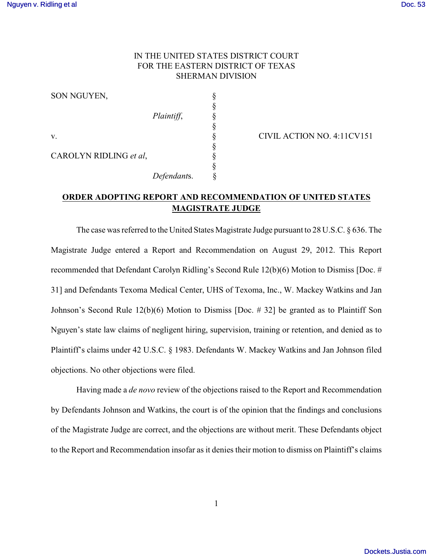## IN THE UNITED STATES DISTRICT COURT FOR THE EASTERN DISTRICT OF TEXAS SHERMAN DIVISION

SON NGUYEN,

CAROLYN RIDLING et al,

 §  $Plaintiff$ , § § *Defendant*s. §

v. S CIVIL ACTION NO. 4:11CV151

## **ORDER ADOPTING REPORT AND RECOMMENDATION OF UNITED STATES MAGISTRATE JUDGE**

§

The case was referred to the United States Magistrate Judge pursuant to 28 U.S.C. § 636. The Magistrate Judge entered a Report and Recommendation on August 29, 2012. This Report recommended that Defendant Carolyn Ridling's Second Rule 12(b)(6) Motion to Dismiss [Doc. # 31] and Defendants Texoma Medical Center, UHS of Texoma, Inc., W. Mackey Watkins and Jan Johnson's Second Rule 12(b)(6) Motion to Dismiss [Doc. # 32] be granted as to Plaintiff Son Nguyen's state law claims of negligent hiring, supervision, training or retention, and denied as to Plaintiff's claims under 42 U.S.C. § 1983. Defendants W. Mackey Watkins and Jan Johnson filed objections. No other objections were filed.

Having made a *de novo* review of the objections raised to the Report and Recommendation by Defendants Johnson and Watkins, the court is of the opinion that the findings and conclusions of the Magistrate Judge are correct, and the objections are without merit. These Defendants object to the Report and Recommendation insofar as it denies their motion to dismiss on Plaintiff's claims